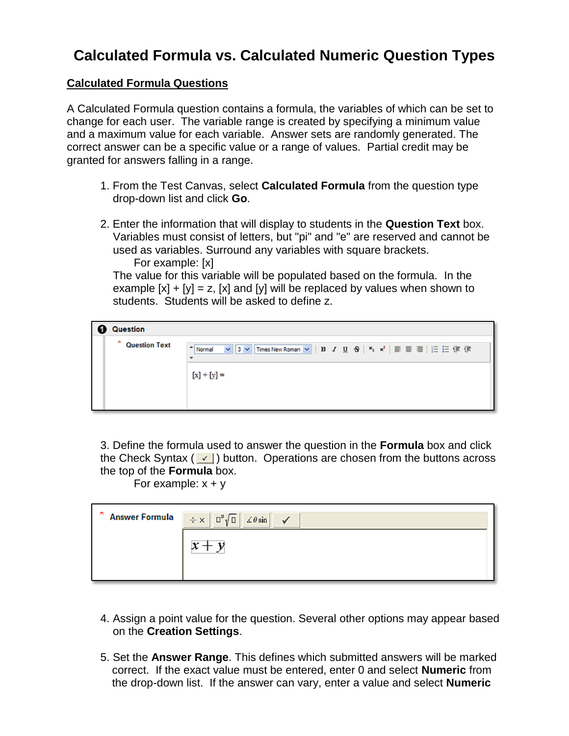# **Calculated Formula vs. Calculated Numeric Question Types**

## **Calculated Formula Questions**

A Calculated Formula question contains a formula, the variables of which can be set to change for each user. The variable range is created by specifying a minimum value and a maximum value for each variable. Answer sets are randomly generated. The correct answer can be a specific value or a range of values. Partial credit may be granted for answers falling in a range.

- 1. From the Test Canvas, select **Calculated Formula** from the question type drop-down list and click **Go**.
- 2. Enter the information that will display to students in the **Question Text** box. Variables must consist of letters, but "pi" and "e" are reserved and cannot be used as variables. Surround any variables with square brackets. For example: [x]

The value for this variable will be populated based on the formula. In the example  $[x] + [y] = z$ ,  $[x]$  and  $[y]$  will be replaced by values when shown to students. Students will be asked to define z.

| <b>Question</b>      |                                                                                                                                                            |
|----------------------|------------------------------------------------------------------------------------------------------------------------------------------------------------|
| <b>Question Text</b> | <mark>▽ 3 ▽</mark> Times New Roman <b>▽   B</b> / U 중   × <sub>2</sub> × <sup>2</sup>   部 芸 理               使 伊<br>- Normal<br>$\check{}$<br>$[x] + [y] =$ |

3. Define the formula used to answer the question in the **Formula** box and click the Check Syntax ( $\vee$ ) button. Operations are chosen from the buttons across the top of the **Formula** box.

For example:  $x + y$ 

| $\hat{B}$ Answer Formula $\hat{B}$ $\hat{B}$ $\hat{C}$ $\hat{C}$ $\hat{C}$ $\hat{C}$ $\hat{C}$ $\hat{C}$ $\hat{C}$ $\hat{C}$ $\hat{C}$ $\hat{C}$ $\hat{C}$ $\hat{C}$ $\hat{C}$ $\hat{C}$ $\hat{C}$ $\hat{C}$ $\hat{C}$ $\hat{C}$ $\hat{C}$ $\hat{C}$ $\hat{C}$ $\hat{C}$ $\hat{C$ |
|-----------------------------------------------------------------------------------------------------------------------------------------------------------------------------------------------------------------------------------------------------------------------------------|
|                                                                                                                                                                                                                                                                                   |
|                                                                                                                                                                                                                                                                                   |

- 4. Assign a point value for the question. Several other options may appear based on the **Creation Settings**.
- 5. Set the **Answer Range**. This defines which submitted answers will be marked correct. If the exact value must be entered, enter 0 and select **Numeric** from the drop-down list. If the answer can vary, enter a value and select **Numeric**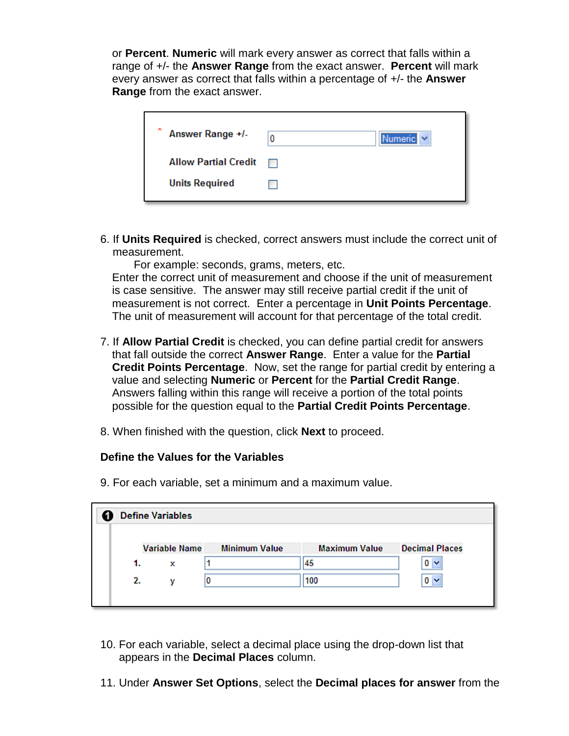or **Percent**. **Numeric** will mark every answer as correct that falls within a range of +/- the **Answer Range** from the exact answer. **Percent** will mark every answer as correct that falls within a percentage of +/- the **Answer Range** from the exact answer.

| ste.<br>Answer Range +/-    | 0                                                                                                                     | Numeric V |
|-----------------------------|-----------------------------------------------------------------------------------------------------------------------|-----------|
| <b>Allow Partial Credit</b> | <b>The Contract of the Contract of the Contract of the Contract of the Contract of the Contract of the Contract o</b> |           |
| <b>Units Required</b>       |                                                                                                                       |           |
|                             |                                                                                                                       |           |

6. If **Units Required** is checked, correct answers must include the correct unit of measurement.

For example: seconds, grams, meters, etc. Enter the correct unit of measurement and choose if the unit of measurement

is case sensitive. The answer may still receive partial credit if the unit of measurement is not correct. Enter a percentage in **Unit Points Percentage**. The unit of measurement will account for that percentage of the total credit.

- 7. If **Allow Partial Credit** is checked, you can define partial credit for answers that fall outside the correct **Answer Range**. Enter a value for the **Partial Credit Points Percentage**. Now, set the range for partial credit by entering a value and selecting **Numeric** or **Percent** for the **Partial Credit Range**. Answers falling within this range will receive a portion of the total points possible for the question equal to the **Partial Credit Points Percentage**.
- 8. When finished with the question, click **Next** to proceed.

9. For each variable, set a minimum and a maximum value.

## **Define the Values for the Variables**

| <b>Define Variables</b> |   |                      |                      |                       |
|-------------------------|---|----------------------|----------------------|-----------------------|
|                         |   |                      |                      |                       |
|                         |   | <b>Minimum Value</b> | <b>Maximum Value</b> | <b>Decimal Places</b> |
| 1.                      | x |                      | 45                   | $0 - $                |
| 2.                      | v | 0                    | 100                  | 0 <sub>1</sub>        |
|                         |   |                      |                      |                       |
|                         |   |                      | <b>Variable Name</b> |                       |

- 10. For each variable, select a decimal place using the drop-down list that appears in the **Decimal Places** column.
- 11. Under **Answer Set Options**, select the **Decimal places for answer** from the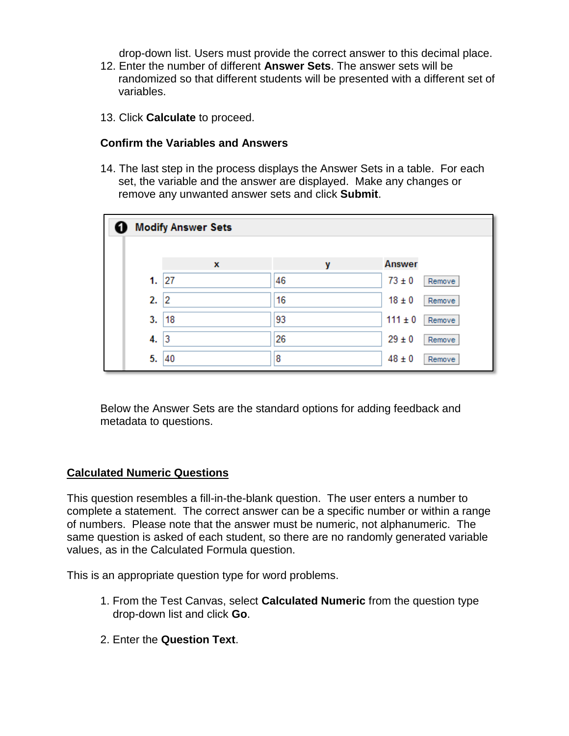drop-down list. Users must provide the correct answer to this decimal place.

- 12. Enter the number of different **Answer Sets**. The answer sets will be randomized so that different students will be presented with a different set of variables.
- 13. Click **Calculate** to proceed.

#### **Confirm the Variables and Answers**

14. The last step in the process displays the Answer Sets in a table. For each set, the variable and the answer are displayed. Make any changes or remove any unwanted answer sets and click **Submit**.

|     | <b>Modify Answer Sets</b> |    |               |        |  |
|-----|---------------------------|----|---------------|--------|--|
|     | x                         | v  | <b>Answer</b> |        |  |
| 1.  | 27                        | 46 | $73 \pm 0$    | Remove |  |
| 2.2 |                           | 16 | $18 \pm 0$    | Remove |  |
| 3.  | 18                        | 93 | $111 \pm 0$   | Remove |  |
| 4.  | 3                         | 26 | $29 \pm 0$    | Remove |  |
| 5.  | 40                        | 8  | $48 \pm 0$    | Remove |  |

Below the Answer Sets are the standard options for adding feedback and metadata to questions.

## **Calculated Numeric Questions**

This question resembles a fill-in-the-blank question. The user enters a number to complete a statement. The correct answer can be a specific number or within a range of numbers. Please note that the answer must be numeric, not alphanumeric. The same question is asked of each student, so there are no randomly generated variable values, as in the Calculated Formula question.

This is an appropriate question type for word problems.

- 1. From the Test Canvas, select **Calculated Numeric** from the question type drop-down list and click **Go**.
- 2. Enter the **Question Text**.